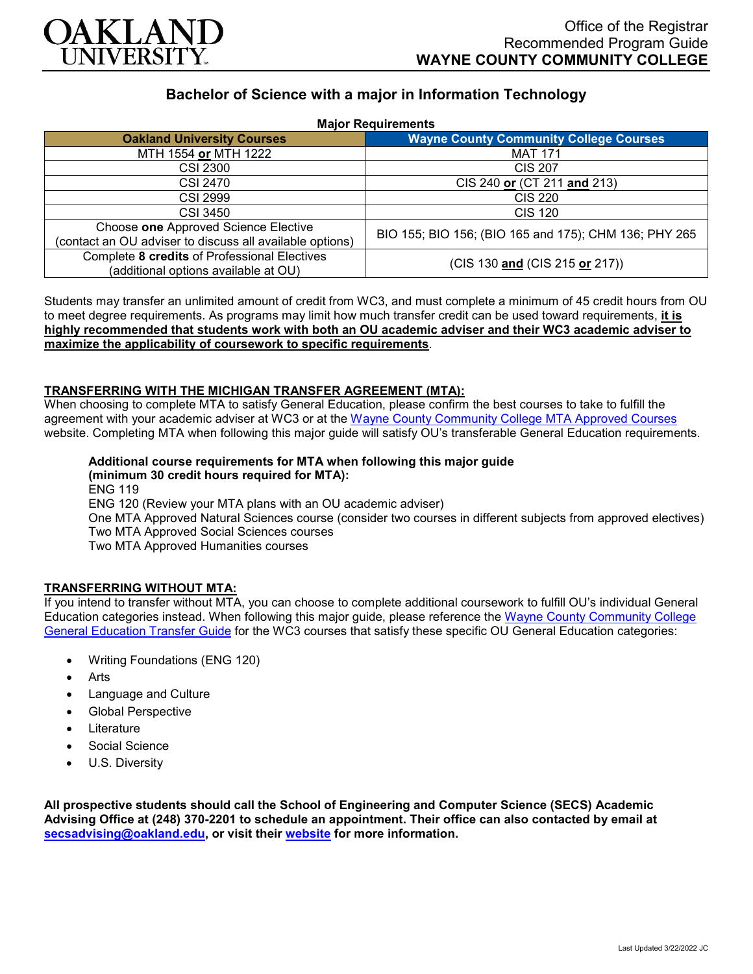

# **Bachelor of Science with a major in Information Technology**

| <b>Major Requirements</b>                                                                        |                                                       |
|--------------------------------------------------------------------------------------------------|-------------------------------------------------------|
| <b>Oakland University Courses</b>                                                                | <b>Wayne County Community College Courses</b>         |
| MTH 1554 or MTH 1222                                                                             | <b>MAT 171</b>                                        |
| <b>CSI 2300</b>                                                                                  | CIS 207                                               |
| <b>CSI 2470</b>                                                                                  | CIS 240 or (CT 211 and 213)                           |
| <b>CSI 2999</b>                                                                                  | CIS 220                                               |
| <b>CSI 3450</b>                                                                                  | <b>CIS 120</b>                                        |
| Choose one Approved Science Elective<br>(contact an OU adviser to discuss all available options) | BIO 155; BIO 156; (BIO 165 and 175); CHM 136; PHY 265 |
| Complete 8 credits of Professional Electives<br>(additional options available at OU)             | (CIS 130 and (CIS 215 or 217))                        |

Students may transfer an unlimited amount of credit from WC3, and must complete a minimum of 45 credit hours from OU to meet degree requirements. As programs may limit how much transfer credit can be used toward requirements, **it is highly recommended that students work with both an OU academic adviser and their WC3 academic adviser to maximize the applicability of coursework to specific requirements**.

### **TRANSFERRING WITH THE MICHIGAN TRANSFER AGREEMENT (MTA):**

When choosing to complete MTA to satisfy General Education, please confirm the best courses to take to fulfill the agreement with your academic adviser at WC3 or at the Wayne [County Community College](http://www.wcccd.edu/students/pp_transfer_agreement.html) MTA Approved Courses website. Completing MTA when following this major guide will satisfy OU's transferable General Education requirements.

#### **Additional course requirements for MTA when following this major guide (minimum 30 credit hours required for MTA):**

ENG 119 ENG 120 (Review your MTA plans with an OU academic adviser) One MTA Approved Natural Sciences course (consider two courses in different subjects from approved electives) Two MTA Approved Social Sciences courses Two MTA Approved Humanities courses

## **TRANSFERRING WITHOUT MTA:**

If you intend to transfer without MTA, you can choose to complete additional coursework to fulfill OU's individual General Education categories instead. When following this major guide, please reference the Wayne [County Community College](https://www.oakland.edu/Assets/Oakland/program-guides/wayne-county-community-college/university-general-education-requirements/Wayne%20Gen%20Ed.pdf) [General Education Transfer Guide](https://www.oakland.edu/Assets/Oakland/program-guides/wayne-county-community-college/university-general-education-requirements/Wayne%20Gen%20Ed.pdf) for the WC3 courses that satisfy these specific OU General Education categories:

- Writing Foundations (ENG 120)
- Arts
- Language and Culture
- Global Perspective
- **Literature**
- Social Science
- U.S. Diversity

**All prospective students should call the School of Engineering and Computer Science (SECS) Academic Advising Office at (248) 370-2201 to schedule an appointment. Their office can also contacted by email at [secsadvising@oakland.edu,](mailto:secsadvising@oakland.edu) or visit their [website](https://wwwp.oakland.edu/secs/advising/) for more information.**